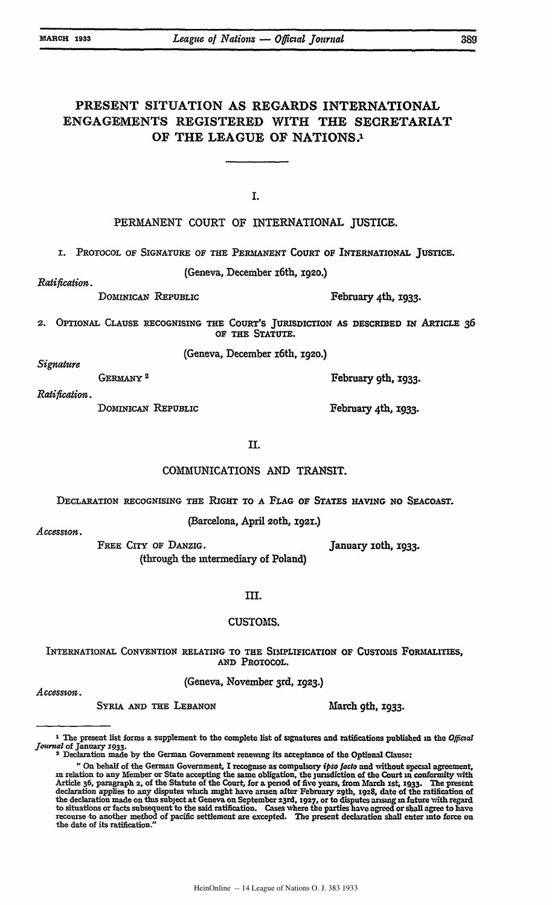# PRESENT **SITUATION AS** REGARDS INTERNATIONAL **ENGAGEMENTS** REGISTERED WITH THE SECRETARIAT OF THE **LEAGUE** OF NATIONS.1

**I.**

**PERMANENT COURT** OF INTERNATIONAL JUSTICE.

**1.** PROTOCOL OF SIGNATURE OF **THE PERMANENT COURT** OF INTERNATIONAL JuSTicE.

(Geneva, December i6th, 1920.)

*Ratification.*

DOMINICAN REPUBLIC February 4th, 1933.

February 9th, **1933.**

February 4th, **1933.**

2. OPTIONAL **CLAUSE** RECOGNISING **THE COURT'S** JURISDICTION **AS** DESCRIBED IN ARTICLE **36** OF THE **STATUTE.**

(Geneva, December z6th, 1920.)

*Signature*

*Ratification.* GERMANY<sup>2</sup>

DOMINICAN REPUBLIC

II.

#### COMMUNICATIONS **AND** TRANSIT.

DECLARATION RECOGNISING THE RIGHT TO **A FLAG** OF **STATES** *HAVING NO* SEACOAST.

(Barcelona, April 2oth, **192I.)** *Accession.*

FREE **CITY** OF DANzIG. (through the intermediary of Poland) January roth, 1933.

**III.**

#### **CUSTOMS.**

INTERNATIONAL **CONVENTION** RELATING TO **THE** SIMPLIFICATION OF **CUSTOMS** FORMALITIES, **AND** PROTOCOL.

(Geneva, November 3rd, gz3.) *Accessson.*

SYRIA AND THE LEBANON March 9th, 1933.

**I** The present list forms a supplement to the complete list of signatures and ratifications published **m** the Official *journal* **of** January **1933. <sup>2</sup>**Declaration made **by the** Germau Government renewing its acceptance of the Optiona Clauset

<sup>&</sup>quot;On behalf of the German Government, I recogmse as compulsory *ipso facto* and without special agreement, **m** relation to any Member or State accepting the same obligation, the jurisdiction of the Court **=** conformity with Article **36,** paragraph 2, of the Statute of the Court, for a period of five years, from March ist, **1933.** The present declaration applies to any disputes which might have arisen after February 29th, 1928, date of the ratification of<br>the declaration made on this subject at Geneva on September 23rd, 1927, or to disputes arising in future wi

to situations or facts subsequent to the said ratification. Cases where the parties have agreed or shall agree to have recourse to another method of pacific settlement are excepted. The present declaration shall enter **into** force on the date of its ratification."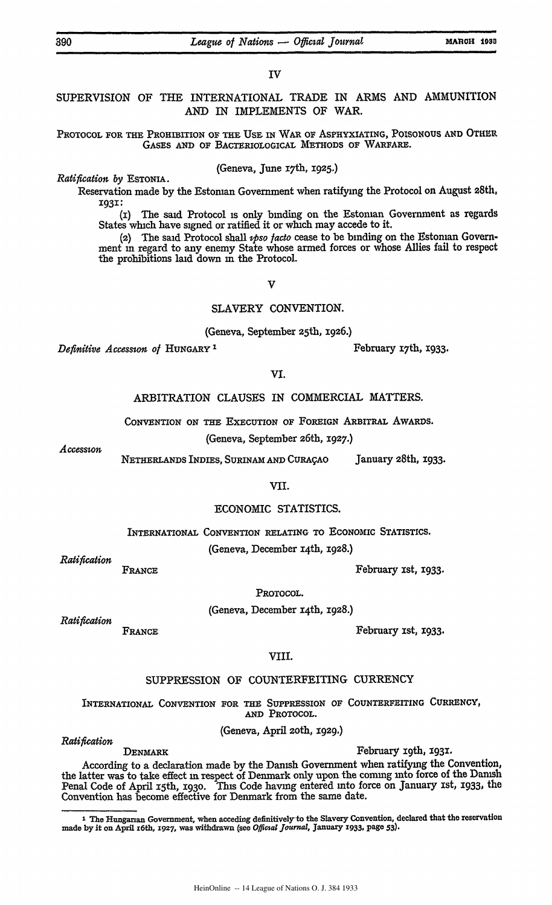#### **IV**

## SUPERVISION OF THE INTERNATIONAL TRADE IN ARMS AND AMMUNITION AND IN IMPLEMENTS OF WAR.

### PROTOCOL FOR THE PROHIBITION OF THE USE IN WAR OF ASPHYXIATING, **POISONOUS** AND OTHER GASES **AND** OF BACTERIOLOGICAL METHODS OF WARFARE.

(Geneva, June 1<sup>7</sup> th, 1925.) *Ratiication by* **ESTONIA.**

Reservation made by the Estonian Government when ratifying the Protocol on August 28th, **1931:**

(i) The said Protocol is only binding on the Estonian Government as regards States which have signed or ratified it or which may accede to it.

(2) The said Protocol shall *ipso facto* cease to be binding on the Estoman Government in regard to any enemy State whose armed forces or whose Allies fail to respect the prohibitions laid down in the Protocol.

**V**

### SLAVERY CONVENTION.

(Geneva, September 25th, **E926.)**

*Definitive Accession of HUNGARY*<sup>1</sup> **February 17th, 1933.** 

**VI.**

ARBITRATION CLAUSES IN COMMERCIAL MATTERS.

CONVENTION ON THE EXECUTION OF FOREIGN ARBITRAL AwARDs.

(Geneva, September 26th, **1927.)** *Accession*

NETHERLANDS INDIES, SURINAM **AND** CURAqAO January 28th, x933.

VII.

### ECONOMIC STATISTICS.

INTERNATIONAL CONVENTION RELATING TO ECONOMIC STATISTICS.

(Geneva, December 14th, 1928.) *Ratifiation*

FRANCE FRANCE FEBRUARY 15t, 1933.

PROTOCOL.

(Geneva, December x4th, 1928.) *Ratifit~ion*

FRANCE FRANCE FEBRUARY 151, **X933.** 

VIII.

### SUPPRESSION OF COUNTERFEITING CURRENCY

INTERNATIONAL CONVENTION FOR THE SUPPRESSION **OF COUNTERFEITING** CURRENCY, **AND** PROTOCOL.

(Geneva, April 2oth, 1929.) *Ratifiaion*

DENMARK February 19th, 1931.

According to a declaration made by the Danish Government when ratifying the Convention, the latter was to take effect in respect of Denmark only upon the coming into force of the Danish Penal Code of April 15th, **1930.** This Code having entered into force on January xst, 1933, the Convention has become effective for Denmark from the same date.

<sup>&</sup>lt;sup>1</sup> The Hungarian Government, when acceding definitively to the Slavery Convention, declared that the reservation made **by** it on April i6th, 1927, was withdrawn (see **Official** *Journal,* January **1933, page 53).**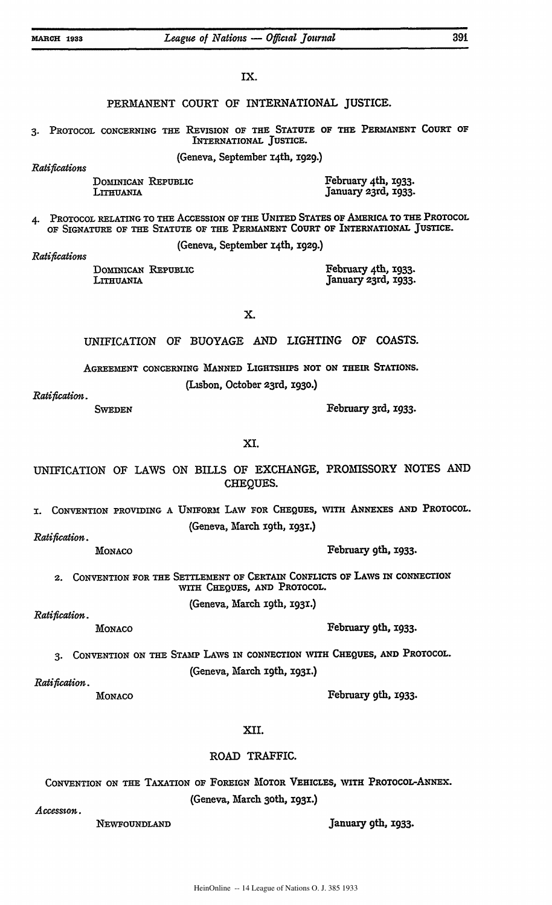| IX.                                                                                                                                                                      |                                                                                                        |
|--------------------------------------------------------------------------------------------------------------------------------------------------------------------------|--------------------------------------------------------------------------------------------------------|
| PERMANENT COURT OF INTERNATIONAL JUSTICE.                                                                                                                                |                                                                                                        |
|                                                                                                                                                                          | 3. PROTOCOL CONCERNING THE REVISION OF THE STATUTE OF THE PERMANENT COURT OF<br>INTERNATIONAL JUSTICE. |
| (Geneva, September 14th, 1929.)<br>Ratifications                                                                                                                         |                                                                                                        |
| DOMINICAN REPUBLIC<br>LITHUANIA                                                                                                                                          | February 4th, 1933.<br>January 23rd, 1933.                                                             |
| PROTOCOL RELATING TO THE ACCESSION OF THE UNITED STATES OF AMERICA TO THE PROTOCOL<br>4.<br>OF SIGNATURE OF THE STATUTE OF THE PERMANENT COURT OF INTERNATIONAL JUSTICE. |                                                                                                        |
| Ratifications                                                                                                                                                            | (Geneva, September 14th, 1929.)                                                                        |
| DOMINICAN REPUBLIC<br>LITHUANIA                                                                                                                                          | February 4th, 1933.<br>January 23rd, 1933.                                                             |
| Χ.                                                                                                                                                                       |                                                                                                        |
|                                                                                                                                                                          | UNIFICATION OF BUOYAGE AND LIGHTING OF COASTS.                                                         |
| AGREEMENT CONCERNING MANNED LIGHTSHIPS NOT ON THEIR STATIONS.                                                                                                            |                                                                                                        |
|                                                                                                                                                                          | (Lisbon, October 23rd, 1930.)                                                                          |
| Ratification.<br><b>SWEDEN</b>                                                                                                                                           | February 3rd, 1933.                                                                                    |
| XI.                                                                                                                                                                      |                                                                                                        |
|                                                                                                                                                                          | UNIFICATION OF LAWS ON BILLS OF EXCHANGE, PROMISSORY NOTES AND<br>CHEQUES.                             |
| CONVENTION PROVIDING A UNIFORM LAW FOR CHEQUES, WITH ANNEXES AND PROTOCOL.<br>I.                                                                                         |                                                                                                        |
| (Geneva, March 19th, 1931.)                                                                                                                                              |                                                                                                        |
| Ratification.<br><b>MONACO</b>                                                                                                                                           | February 9th, 1933.                                                                                    |
| CONVENTION FOR THE SETTLEMENT OF CERTAIN CONFLICTS OF LAWS IN CONNECTION<br>2.<br>WITH CHEQUES, AND PROTOCOL.                                                            |                                                                                                        |
| Ratification.                                                                                                                                                            | (Geneva, March 19th, 1931.)                                                                            |
| MONACO                                                                                                                                                                   | February 9th, 1933.                                                                                    |
| CONVENTION ON THE STAMP LAWS IN CONNECTION WITH CHEQUES, AND PROTOCOL.<br>3.<br>(Geneva, March 19th, 1931.)                                                              |                                                                                                        |
| Ratification.                                                                                                                                                            |                                                                                                        |
| MONACO                                                                                                                                                                   | February 9th, 1933.                                                                                    |
| XII.                                                                                                                                                                     |                                                                                                        |
| ROAD TRAFFIC.                                                                                                                                                            |                                                                                                        |

**CONVENTION** ON THE TAXATION OF FOREIGN MOTOR **VEHICLES,** WITH **PROTOCOL-ANNEX.** (Geneva, March 3oth, 193.)

*Accesson.*

NEWFOUNDLAND **January 9th, 1933.**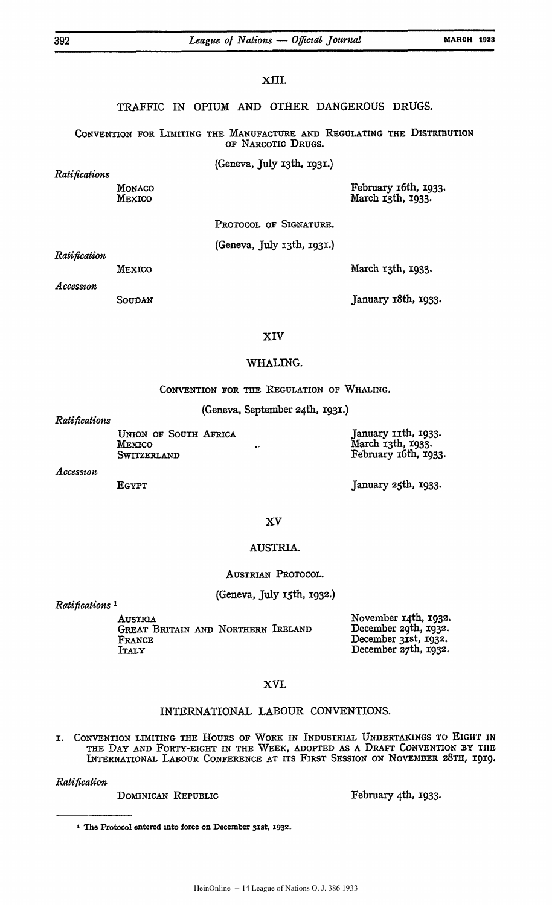### **XIII.**

TRAFFIC IN OPIUM **AND** OTHER **DANGEROUS DRUGS.**

**CONVENTION** FOR LIMITING THE **MANUFACTURE AND** REGULATING **THE DISTRIBUTION** OF NARCOTIC DRUGS.

(Geneva, July i3th, 1931.)

*Ratifications*

**MONACO MEXICO**

February x6th, 1933. March 13th, 1933.

PROTOCOL OF SIGNATURE.

(Geneva, July i3th, I93i.)

*Ratification*

MEXICO

March 13th, 1933.

*Access-on*

**SOUDAN**

January i8th, 1933.

#### XIV

#### WHALING.

CONVENTION FOR THE REGULATION OF WHALING.

(Geneva, September 24th, 1931.)

*Ratifications*

UNION OF SOUTH AFRICA MEXICO SWITZERLAND

January xith, 1933. March 13th, 1933. February i6th, x933.

*Accesston*

EGYPT

January 25th, 1933.

#### **XV**

## AUSTRIA.

#### AUSTRIAN PROTOCOL.

#### (Geneva, **July** ith, **I932.)**

*Ratifications 1*

AUSTRIA GREAT BRITAIN **AND** NORTHERN IRELAND FRANCE ITALY

November 14th, **1932.** December 29th, **X932.** December 31st, 1932. December 2<sup>7</sup> th, **X932.**

### XVI.

## INTERNATIONAL LABOUR CONVENTIONS.

I. CONVENTION LIMITING THE HOURS OF WORK IN INDUSTRIAL UNDERTAKINGS TO EIGHT **IN** THE DAY AND FORTY-EIGHT IN THE WEEK, **ADOPTED AS** A DRAFT CONVENTION BY THE INTERNATIONAL LABOUR **CONFERENCE AT** ITS FIRST **SESSION** ON NOVEMBER **28TH,** 19X9.

*Ratification*

DOMINICAN REPUBLIC February 4th, **1933.** 

<sup>1</sup> The Protocol entered into force on December 31st, 1932.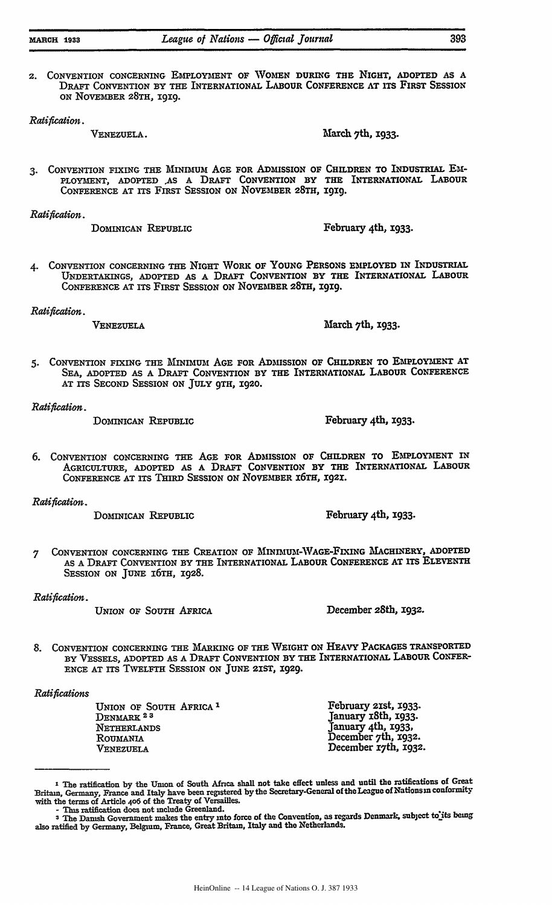2. CONVENTION CONCERNING EMPLOYMENT **OF WOMEN DURING** THE **NIGHT,** ADOPTED **AS A** DRAFT CONVENTION BY THE INTERNATIONAL LABOUR CONFERENCE **AT ITS** FIRST SESSION ON NOVEMBER **28TH, 1919.**

VENEZUELA. March 7th, **1933.** 

**3.** CONVENTION FIXING THE **MINIMUM AGE** FOR **ADMISSION** OF CHILDREN TO **INDUSTRIAL** EM-PLOYMENT, ADOPTED **,AS A DRAFT** CONVENTION BY THE INTERNATIONAL LABOUR

**CONFERENCE AT** ITS FIRST SESSION **ON** NOVEMBER **28TH, i919.**

*Ratification.*

DOMINICAN REPUBLIC February 4th, **1933.** 

*4.* CONVENTION CONCERNING THE NIGHT WORK OF **YOUNG** PERSONS EMPLOYED IN INDUSTRIAL **UNDERTAKINGS, ADOPTED** AS **A** DRAFT CONVENTION BY THE **INTERNATIONAL** LABOUR CONFERENCE **AT** ITS FIRST SESSION **ON** NOVEMBER **28TH, I9X9.**

*Ratification.*

VENEZUELA March 7th, **1933.** 

*5.* CONVENTION FIXING THE MINIMUM **AGE** FOR ADMISSION OF CHILDREN TO EMPLOYMENT **AT SEA, ADOPTED AS A** DRAFT **CONVENTION** BY THE INTERNATIONAL LABOUR **CONFERENCE AT ITS SECOND** SESSION ON JULY 9TH, 1920.

*Ratification.*

DOMINICAN REPUBLIC February 4th, 1933.

**6.** CONVENTION CONCERNING THE **AGE** FOR ADMISSION OF CHILDREN TO **EMPLOYMENT** IN AGRICULTURE, ADOPTED **AS A** DRAFT CONVENTION BY THE INTERNATIONAL LABOUR CONFERENCE **AT** ITS THIRD **SESSION** ON NOVEMBER **16TH, :921.**

*Ratification.*

DOMINICAN REPUBLIC February 4th, 1933.

**7** CONVENTION CONCERNING THE CREATION OF **MINIMU -VAGE-FLXING MACHIN'ERY, ADOPTED AS A** DRAFT **CONVENTION** BY THE INTERNATIONAL LABOUR CONFERENCE **AT** ITS ELEVENTH SESSION ON **JUNE** i6TH, **1928.**

*Ratification.*

UNION OF SOUTH AFRICA December 28th, 1932.

8. **CONVENTION CONCERNING** THE **MARKING** OF THE WEIGHT ON **HEAVY** PACKAGES TRANSPORTED BY **VESSELS,** ADOPTED **AS** A DRAFT CONVENTION BY THE INTERNATIONAL LABOUR CONFER-ENCE **AT** ITS TwELFTH SESSION **ON** JUNE 2IST, X929.

#### *Ratifications*

UNION OF SOUTH AFRICA' DENMARK<sup>23</sup> NETHERLANDS ROUmANIA **VENEZUELA**

February 21st, **1933.** January x8th, **1933.** January 4th, 1933, December 7th, 1932. December i<sup>7</sup> th, **1932.**

*Ratification.*

I The ratification **by** the Umon of South Africa shall not take effect unless and until the ratifications of Great Britain, Germany, France and Italy have been registered by the Secretary-General of the League of Nationsin conformity with the terms of Article **406** of the Treaty of Versailles. - This ratification does not include Greenland.

<sup>3</sup>The Danish Government makes the entry into force of the Convention, as regards Denmark, subject **toits** *being* also ratified **by** Germany, Belgium, France, Great Britain, Italy and the Netherlands.